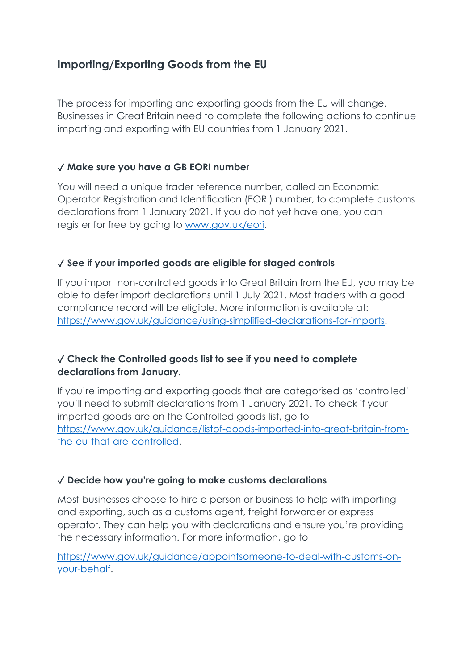# **Importing/Exporting Goods from the EU**

The process for importing and exporting goods from the EU will change. Businesses in Great Britain need to complete the following actions to continue importing and exporting with EU countries from 1 January 2021.

## ✓ **Make sure you have a GB EORI number**

You will need a unique trader reference number, called an Economic Operator Registration and Identification (EORI) number, to complete customs declarations from 1 January 2021. If you do not yet have one, you can register for free by going to [www.gov.uk/eori.](http://www.gov.uk/eori)

## ✓ **See if your imported goods are eligible for staged controls**

If you import non-controlled goods into Great Britain from the EU, you may be able to defer import declarations until 1 July 2021. Most traders with a good compliance record will be eligible. More information is available at: [https://www.gov.uk/guidance/using-simplified-declarations-for-imports.](https://www.gov.uk/guidance/using-simplified-declarations-for-imports)

## ✓ **Check the Controlled goods list to see if you need to complete declarations from January.**

If you're importing and exporting goods that are categorised as 'controlled' you'll need to submit declarations from 1 January 2021. To check if your imported goods are on the Controlled goods list, go to [https://www.gov.uk/guidance/listof-goods-imported-into-great-britain-from](https://www.gov.uk/guidance/listof-goods-imported-into-great-britain-from-the-eu-that-are-controlled)[the-eu-that-are-controlled.](https://www.gov.uk/guidance/listof-goods-imported-into-great-britain-from-the-eu-that-are-controlled)

#### ✓ **Decide how you're going to make customs declarations**

Most businesses choose to hire a person or business to help with importing and exporting, such as a customs agent, freight forwarder or express operator. They can help you with declarations and ensure you're providing the necessary information. For more information, go to

[https://www.gov.uk/guidance/appointsomeone-to-deal-with-customs-on](https://www.gov.uk/guidance/appointsomeone-to-deal-with-customs-on-your-behalf)[your-behalf.](https://www.gov.uk/guidance/appointsomeone-to-deal-with-customs-on-your-behalf)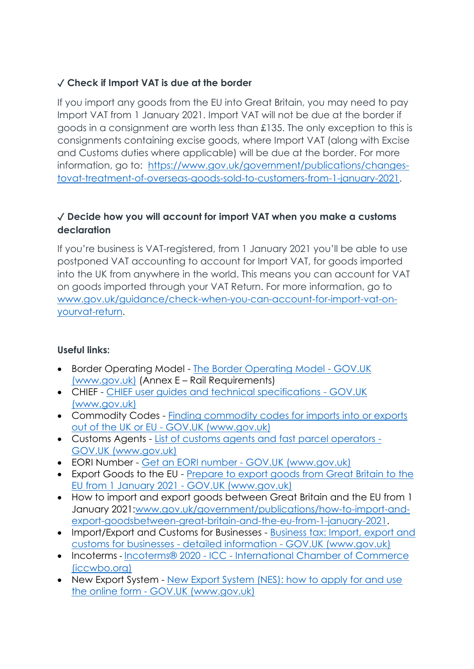## ✓ **Check if Import VAT is due at the border**

If you import any goods from the EU into Great Britain, you may need to pay Import VAT from 1 January 2021. Import VAT will not be due at the border if goods in a consignment are worth less than £135. The only exception to this is consignments containing excise goods, where Import VAT (along with Excise and Customs duties where applicable) will be due at the border. For more information, go to: [https://www.gov.uk/government/publications/changes](https://www.gov.uk/government/publications/changes-tovat-treatment-of-overseas-goods-sold-to-customers-from-1-january-2021)[tovat-treatment-of-overseas-goods-sold-to-customers-from-1-january-2021.](https://www.gov.uk/government/publications/changes-tovat-treatment-of-overseas-goods-sold-to-customers-from-1-january-2021)

## ✓ **Decide how you will account for import VAT when you make a customs declaration**

If you're business is VAT-registered, from 1 January 2021 you'll be able to use postponed VAT accounting to account for Import VAT, for goods imported into the UK from anywhere in the world. This means you can account for VAT on goods imported through your VAT Return. For more information, go to [www.gov.uk/guidance/check-when-you-can-account-for-import-vat-on](http://www.gov.uk/guidance/check-when-you-can-account-for-import-vat-on-yourvat-return)[yourvat-return.](http://www.gov.uk/guidance/check-when-you-can-account-for-import-vat-on-yourvat-return)

#### **Useful links:**

- Border Operating Model [The Border Operating Model -](https://www.gov.uk/government/publications/the-border-operating-model) GOV.UK [\(www.gov.uk\)](https://www.gov.uk/government/publications/the-border-operating-model) (Annex E – Rail Requirements)
- CHIEF [CHIEF user guides and technical specifications -](https://www.gov.uk/government/collections/chief-user-guides-and-technical-specifications) GOV.UK [\(www.gov.uk\)](https://www.gov.uk/government/collections/chief-user-guides-and-technical-specifications)
- Commodity Codes [Finding commodity codes for imports into or exports](https://www.gov.uk/guidance/finding-commodity-codes-for-imports-or-exports)  out of the UK or EU - [GOV.UK \(www.gov.uk\)](https://www.gov.uk/guidance/finding-commodity-codes-for-imports-or-exports)
- Customs Agents [List of customs agents and fast parcel operators -](https://www.gov.uk/guidance/list-of-customs-agents-and-fast-parcel-operators) [GOV.UK \(www.gov.uk\)](https://www.gov.uk/guidance/list-of-customs-agents-and-fast-parcel-operators)
- EORI Number Get an EORI number [GOV.UK \(www.gov.uk\)](https://www.gov.uk/eori)
- Export Goods to the EU [Prepare to export goods from Great Britain to the](https://www.gov.uk/prepare-to-export-from-great-britain-from-january-2021)  [EU from 1 January 2021 -](https://www.gov.uk/prepare-to-export-from-great-britain-from-january-2021) GOV.UK (www.gov.uk)
- How to import and export goods between Great Britain and the EU from 1 January 2021[:www.gov.uk/government/publications/how-to-import-and](http://www.gov.uk/government/publications/how-to-import-and-export-goodsbetween-great-britain-and-the-eu-from-1-january-2021)[export-goodsbetween-great-britain-and-the-eu-from-1-january-2021.](http://www.gov.uk/government/publications/how-to-import-and-export-goodsbetween-great-britain-and-the-eu-from-1-january-2021)
- Import/Export and Customs for Businesses [Business tax: Import, export and](https://www.gov.uk/topic/business-tax/import-export)  [customs for businesses -](https://www.gov.uk/topic/business-tax/import-export) detailed information - GOV.UK (www.gov.uk)
- Incoterms Incoterms® 2020 ICC [International Chamber of Commerce](https://iccwbo.org/resources-for-business/incoterms-rules/incoterms-2020/)  [\(iccwbo.org\)](https://iccwbo.org/resources-for-business/incoterms-rules/incoterms-2020/)
- New Export System New Export System (NES): how to apply for and use the online form - [GOV.UK \(www.gov.uk\)](https://www.gov.uk/government/publications/new-export-system-nes-how-to-apply-for-and-use-the-online-form)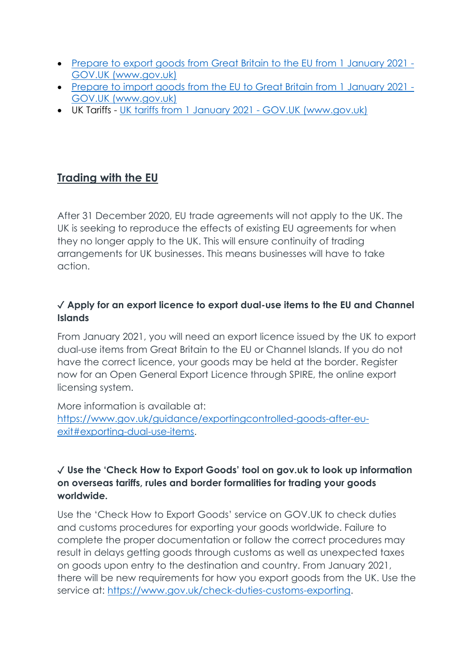- [Prepare to export goods from Great Britain to the EU from 1 January 2021 -](https://www.gov.uk/prepare-to-export-from-great-britain-from-january-2021) [GOV.UK \(www.gov.uk\)](https://www.gov.uk/prepare-to-export-from-great-britain-from-january-2021)
- [Prepare to import goods from the EU to Great Britain from 1 January 2021 -](https://www.gov.uk/prepare-to-import-to-great-britain-from-january-2021) [GOV.UK \(www.gov.uk\)](https://www.gov.uk/prepare-to-import-to-great-britain-from-january-2021)
- UK Tariffs [UK tariffs from 1 January 2021 -](https://www.gov.uk/guidance/uk-tariffs-from-1-january-2021) GOV.UK (www.gov.uk)

# **Trading with the EU**

After 31 December 2020, EU trade agreements will not apply to the UK. The UK is seeking to reproduce the effects of existing EU agreements for when they no longer apply to the UK. This will ensure continuity of trading arrangements for UK businesses. This means businesses will have to take action.

## ✓ **Apply for an export licence to export dual-use items to the EU and Channel Islands**

From January 2021, you will need an export licence issued by the UK to export dual-use items from Great Britain to the EU or Channel Islands. If you do not have the correct licence, your goods may be held at the border. Register now for an Open General Export Licence through SPIRE, the online export licensing system.

More information is available at: [https://www.gov.uk/guidance/exportingcontrolled-goods-after-eu](https://www.gov.uk/guidance/exportingcontrolled-goods-after-eu-exit#exporting-dual-use-items)[exit#exporting-dual-use-items.](https://www.gov.uk/guidance/exportingcontrolled-goods-after-eu-exit#exporting-dual-use-items)

#### ✓ **Use the 'Check How to Export Goods' tool on gov.uk to look up information on overseas tariffs, rules and border formalities for trading your goods worldwide.**

Use the 'Check How to Export Goods' service on GOV.UK to check duties and customs procedures for exporting your goods worldwide. Failure to complete the proper documentation or follow the correct procedures may result in delays getting goods through customs as well as unexpected taxes on goods upon entry to the destination and country. From January 2021, there will be new requirements for how you export goods from the UK. Use the service at: [https://www.gov.uk/check-duties-customs-exporting.](https://www.gov.uk/check-duties-customs-exporting)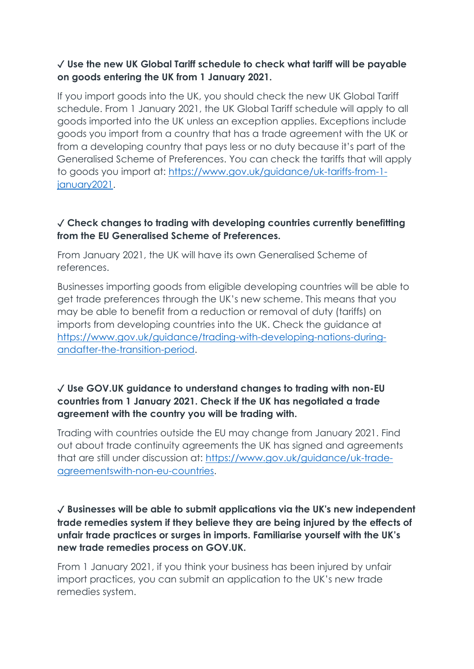### ✓ **Use the new UK Global Tariff schedule to check what tariff will be payable on goods entering the UK from 1 January 2021.**

If you import goods into the UK, you should check the new UK Global Tariff schedule. From 1 January 2021, the UK Global Tariff schedule will apply to all goods imported into the UK unless an exception applies. Exceptions include goods you import from a country that has a trade agreement with the UK or from a developing country that pays less or no duty because it's part of the Generalised Scheme of Preferences. You can check the tariffs that will apply to goods you import at: [https://www.gov.uk/guidance/uk-tariffs-from-1](https://www.gov.uk/guidance/uk-tariffs-from-1-january2021) [january2021.](https://www.gov.uk/guidance/uk-tariffs-from-1-january2021)

### ✓ **Check changes to trading with developing countries currently benefitting from the EU Generalised Scheme of Preferences.**

From January 2021, the UK will have its own Generalised Scheme of references.

Businesses importing goods from eligible developing countries will be able to get trade preferences through the UK's new scheme. This means that you may be able to benefit from a reduction or removal of duty (tariffs) on imports from developing countries into the UK. Check the guidance at [https://www.gov.uk/guidance/trading-with-developing-nations-during](https://www.gov.uk/guidance/trading-with-developing-nations-during-andafter-the-transition-period)[andafter-the-transition-period.](https://www.gov.uk/guidance/trading-with-developing-nations-during-andafter-the-transition-period)

#### ✓ **Use GOV.UK guidance to understand changes to trading with non-EU countries from 1 January 2021. Check if the UK has negotiated a trade agreement with the country you will be trading with.**

Trading with countries outside the EU may change from January 2021. Find out about trade continuity agreements the UK has signed and agreements that are still under discussion at: [https://www.gov.uk/guidance/uk-trade](https://www.gov.uk/guidance/uk-trade-agreementswith-non-eu-countries)[agreementswith-non-eu-countries.](https://www.gov.uk/guidance/uk-trade-agreementswith-non-eu-countries)

### ✓ **Businesses will be able to submit applications via the UK's new independent trade remedies system if they believe they are being injured by the effects of unfair trade practices or surges in imports. Familiarise yourself with the UK's new trade remedies process on GOV.UK.**

From 1 January 2021, if you think your business has been injured by unfair import practices, you can submit an application to the UK's new trade remedies system.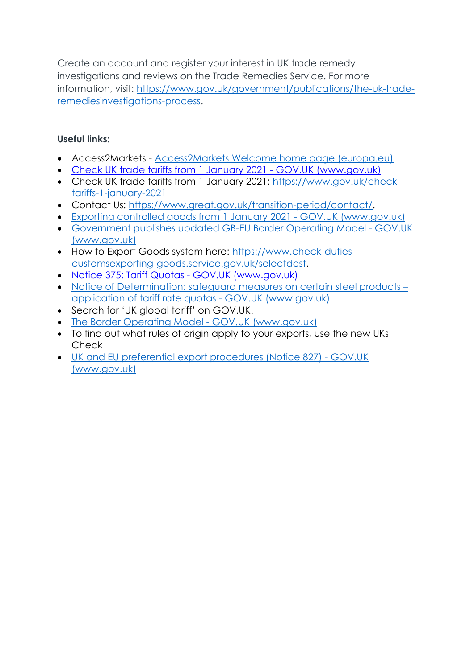Create an account and register your interest in UK trade remedy investigations and reviews on the Trade Remedies Service. For more information, visit: [https://www.gov.uk/government/publications/the-uk-trade](https://www.gov.uk/government/publications/the-uk-trade-remediesinvestigations-process)[remediesinvestigations-process.](https://www.gov.uk/government/publications/the-uk-trade-remediesinvestigations-process)

## **Useful links:**

- Access2Markets [Access2Markets Welcome home page \(europa.eu\)](https://trade.ec.europa.eu/access-to-markets/en/content)
- [Check UK trade tariffs from 1 January 2021 -](https://www.gov.uk/check-tariffs-1-january-2021) GOV.UK (www.gov.uk)
- Check UK trade tariffs from 1 January 2021: [https://www.gov.uk/check](https://www.gov.uk/check-tariffs-1-january-2021)[tariffs-1-january-2021](https://www.gov.uk/check-tariffs-1-january-2021)
- Contact Us: [https://www.great.gov.uk/transition-period/contact/.](https://www.great.gov.uk/transition-period/contact/)
- [Exporting controlled goods from 1 January 2021 -](https://www.gov.uk/guidance/exporting-controlled-goods-after-eu-exit#exporting-dual-use-items) GOV.UK (www.gov.uk)
- [Government publishes updated GB-EU Border Operating Model -](https://www.gov.uk/government/news/government-publishes-updated-gb-eu-border-operating-model) GOV.UK [\(www.gov.uk\)](https://www.gov.uk/government/news/government-publishes-updated-gb-eu-border-operating-model)
- How to Export Goods system here: [https://www.check-duties](https://www.check-duties-customsexporting-goods.service.gov.uk/selectdest)[customsexporting-goods.service.gov.uk/selectdest.](https://www.check-duties-customsexporting-goods.service.gov.uk/selectdest)
- [Notice 375: Tariff Quotas -](https://www.gov.uk/government/publications/notice-375-tariff-quotas/notice-375-tariff-quotas#printedtariff) GOV.UK (www.gov.uk)
- Notice of Determination: safeguard measures on certain steel products application of tariff rate quotas - GOV.UK (www.gov.uk)
- Search for 'UK alobal tariff' on GOV.UK.
- [The Border Operating Model -](https://www.gov.uk/government/publications/the-border-operating-model) GOV.UK (www.gov.uk)
- To find out what rules of origin apply to your exports, use the new UKs Check
- [UK and EU preferential export procedures \(Notice 827\) -](https://www.gov.uk/government/publications/notice-827-european-union-preferences-export-procedures/notice-827-european-union-preferences-export-procedures) GOV.UK [\(www.gov.uk\)](https://www.gov.uk/government/publications/notice-827-european-union-preferences-export-procedures/notice-827-european-union-preferences-export-procedures)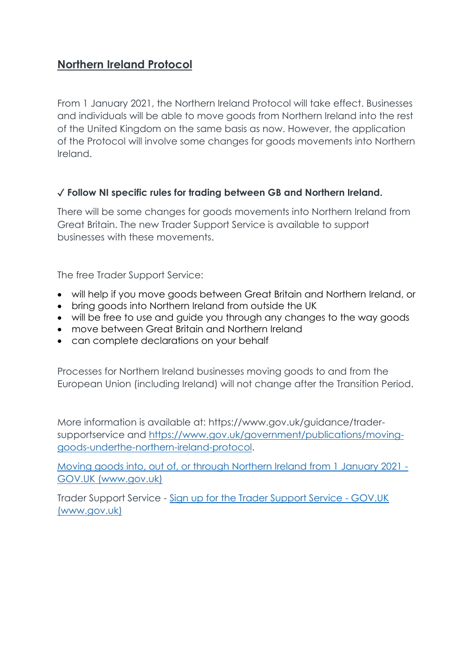# **Northern Ireland Protocol**

From 1 January 2021, the Northern Ireland Protocol will take effect. Businesses and individuals will be able to move goods from Northern Ireland into the rest of the United Kingdom on the same basis as now. However, the application of the Protocol will involve some changes for goods movements into Northern Ireland.

#### ✓ **Follow NI specific rules for trading between GB and Northern Ireland.**

There will be some changes for goods movements into Northern Ireland from Great Britain. The new Trader Support Service is available to support businesses with these movements.

The free Trader Support Service:

- will help if you move goods between Great Britain and Northern Ireland, or
- bring goods into Northern Ireland from outside the UK
- will be free to use and guide you through any changes to the way goods
- move between Great Britain and Northern Ireland
- can complete declarations on your behalf

Processes for Northern Ireland businesses moving goods to and from the European Union (including Ireland) will not change after the Transition Period.

More information is available at: https://www.gov.uk/guidance/tradersupportservice and [https://www.gov.uk/government/publications/moving](https://www.gov.uk/government/publications/moving-goods-underthe-northern-ireland-protocol)[goods-underthe-northern-ireland-protocol.](https://www.gov.uk/government/publications/moving-goods-underthe-northern-ireland-protocol)

[Moving goods into, out of, or through Northern Ireland from 1 January 2021 -](https://www.gov.uk/guidance/moving-goods-into-out-of-or-through-northern-ireland-from-1-january-2021) [GOV.UK \(www.gov.uk\)](https://www.gov.uk/guidance/moving-goods-into-out-of-or-through-northern-ireland-from-1-january-2021)

Trader Support Service - [Sign up for the Trader Support Service -](https://www.gov.uk/guidance/trader-support-service) GOV.UK [\(www.gov.uk\)](https://www.gov.uk/guidance/trader-support-service)